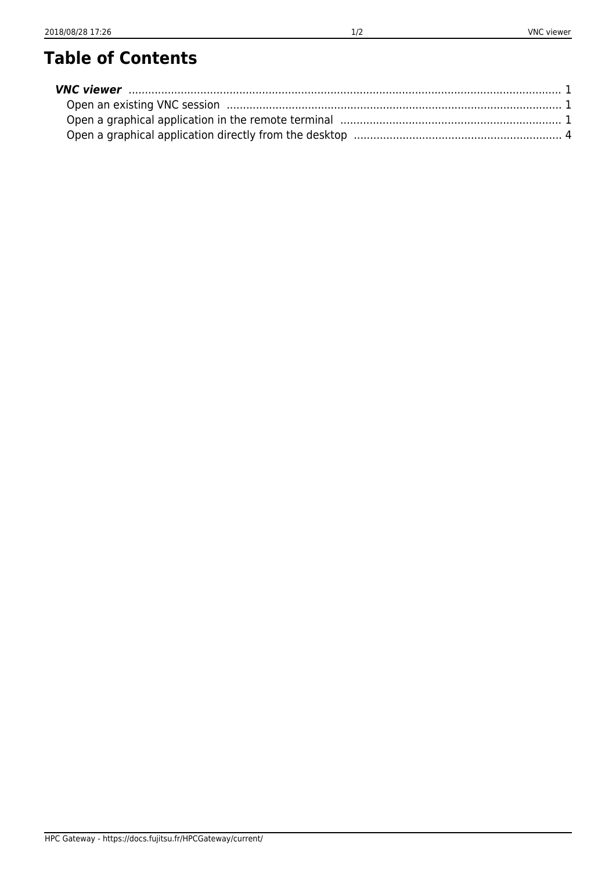# **Table of Contents**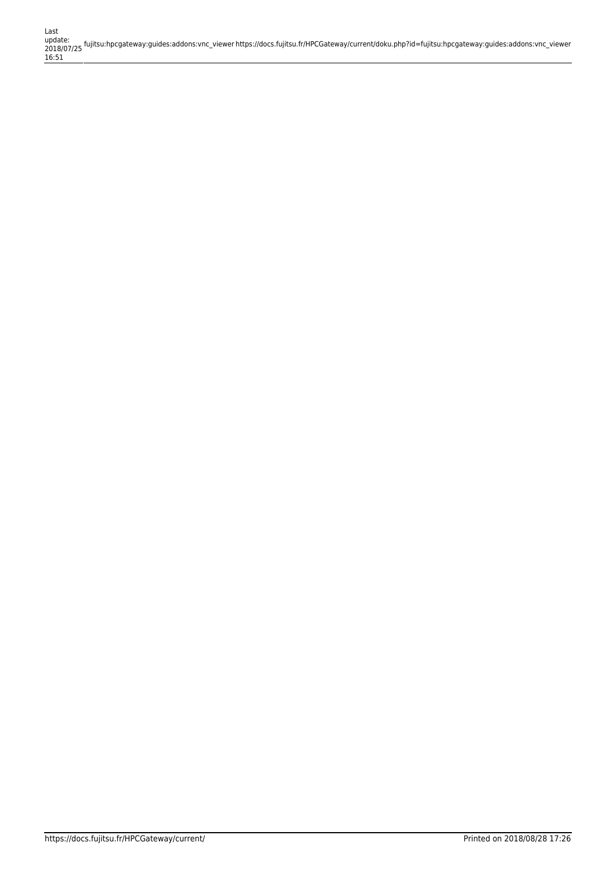16:51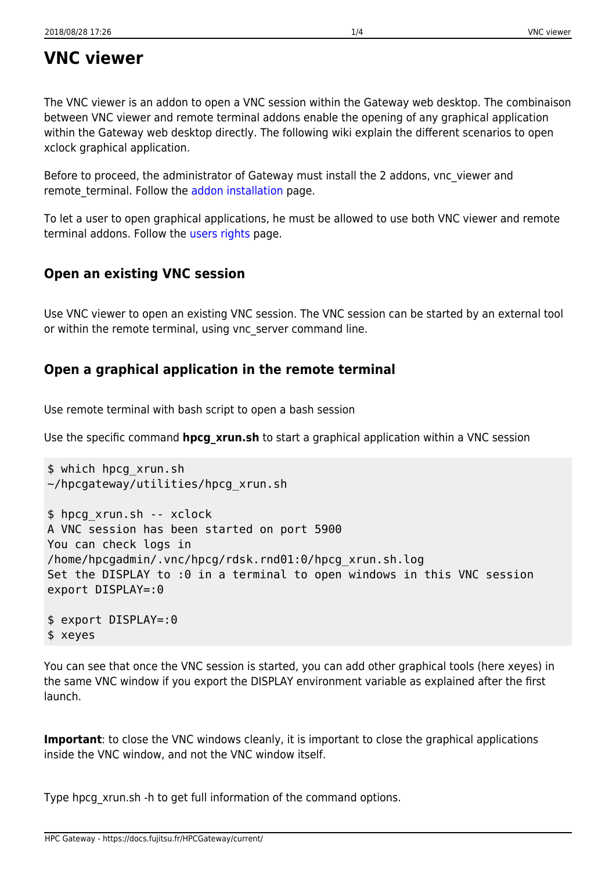# <span id="page-2-0"></span>**VNC viewer**

The VNC viewer is an addon to open a VNC session within the Gateway web desktop. The combinaison between VNC viewer and remote terminal addons enable the opening of any graphical application within the Gateway web desktop directly. The following wiki explain the different scenarios to open xclock graphical application.

Before to proceed, the administrator of Gateway must install the 2 addons, ync viewer and remote terminal. Follow the [addon installation](https://docs.fujitsu.fr/HPCGateway/current/doku.php?id=fujitsu:hpcgateway:guides:admin:install:installation_addons) page.

To let a user to open graphical applications, he must be allowed to use both VNC viewer and remote terminal addons. Follow the [users rights](https://docs.fujitsu.fr/HPCGateway/current/doku.php?id=fujitsu:hpcgateway:guides:admin:user_rights) page.

# <span id="page-2-1"></span>**Open an existing VNC session**

Use VNC viewer to open an existing VNC session. The VNC session can be started by an external tool or within the remote terminal, using vnc server command line.

# <span id="page-2-2"></span>**Open a graphical application in the remote terminal**

Use remote terminal with bash script to open a bash session

Use the specific command **hpcg\_xrun.sh** to start a graphical application within a VNC session

```
$ which hpcg_xrun.sh
~/hpcgateway/utilities/hpcg_xrun.sh
$ hpcg_xrun.sh -- xclock
A VNC session has been started on port 5900
You can check logs in
/home/hpcgadmin/.vnc/hpcg/rdsk.rnd01:0/hpcg_xrun.sh.log
Set the DISPLAY to :0 in a terminal to open windows in this VNC session
export DISPLAY=:0
$ export DISPLAY=:0
$ xeyes
```
You can see that once the VNC session is started, you can add other graphical tools (here xeyes) in the same VNC window if you export the DISPLAY environment variable as explained after the first launch.

**Important**: to close the VNC windows cleanly, it is important to close the graphical applications inside the VNC window, and not the VNC window itself.

Type hpcg\_xrun.sh -h to get full information of the command options.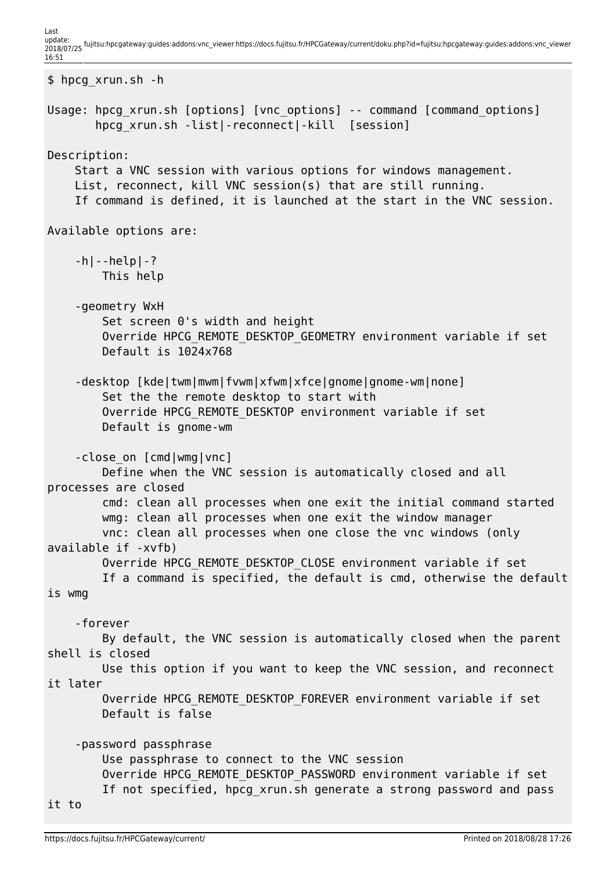\$ hpcg\_xrun.sh -h Usage: hpcg\_xrun.sh [options] [vnc\_options] -- command [command\_options] hpcg xrun.sh -list|-reconnect|-kill [session] Description: Start a VNC session with various options for windows management. List, reconnect, kill VNC session(s) that are still running. If command is defined, it is launched at the start in the VNC session. Available options are: -h|--help|-? This help -geometry WxH Set screen 0's width and height Override HPCG REMOTE DESKTOP GEOMETRY environment variable if set Default is 1024x768 -desktop [kde|twm|mwm|fvwm|xfwm|xfce|gnome|gnome-wm|none] Set the the remote desktop to start with Override HPCG REMOTE DESKTOP environment variable if set Default is gnome-wm -close\_on [cmd|wmg|vnc] Define when the VNC session is automatically closed and all processes are closed cmd: clean all processes when one exit the initial command started wmg: clean all processes when one exit the window manager vnc: clean all processes when one close the vnc windows (only available if -xvfb) Override HPCG REMOTE DESKTOP CLOSE environment variable if set If a command is specified, the default is cmd, otherwise the default is wmg -forever By default, the VNC session is automatically closed when the parent shell is closed Use this option if you want to keep the VNC session, and reconnect it later Override HPCG REMOTE DESKTOP FOREVER environment variable if set Default is false -password passphrase Use passphrase to connect to the VNC session Override HPCG REMOTE DESKTOP PASSWORD environment variable if set If not specified, hpcg xrun.sh generate a strong password and pass it to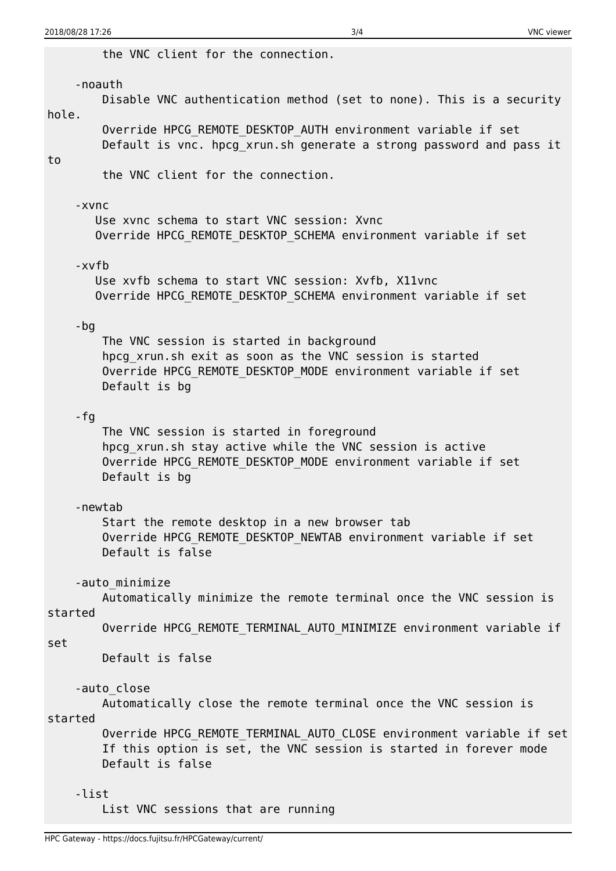#### -noauth

Disable VNC authentication method (set to none). This is a security

#### hole.

Override HPCG REMOTE DESKTOP AUTH environment variable if set Default is vnc. hpcg xrun.sh generate a strong password and pass it

### to

the VNC client for the connection.

#### -xvnc

 Use xvnc schema to start VNC session: Xvnc Override HPCG REMOTE DESKTOP SCHEMA environment variable if set

## -xvfb

 Use xvfb schema to start VNC session: Xvfb, X11vnc Override HPCG\_REMOTE\_DESKTOP\_SCHEMA environment variable if set

#### -bg

 The VNC session is started in background hpcg xrun.sh exit as soon as the VNC session is started Override HPCG REMOTE DESKTOP MODE environment variable if set Default is bg

### -fg

 The VNC session is started in foreground hpcg xrun.sh stay active while the VNC session is active Override HPCG REMOTE DESKTOP MODE environment variable if set Default is bg

#### -newtab

 Start the remote desktop in a new browser tab Override HPCG REMOTE DESKTOP NEWTAB environment variable if set Default is false

-auto\_minimize

 Automatically minimize the remote terminal once the VNC session is started

Override HPCG REMOTE TERMINAL AUTO MINIMIZE environment variable if

set

Default is false

```
 -auto_close
```
 Automatically close the remote terminal once the VNC session is started

> Override HPCG\_REMOTE\_TERMINAL\_AUTO\_CLOSE environment variable if set If this option is set, the VNC session is started in forever mode Default is false

-list

List VNC sessions that are running